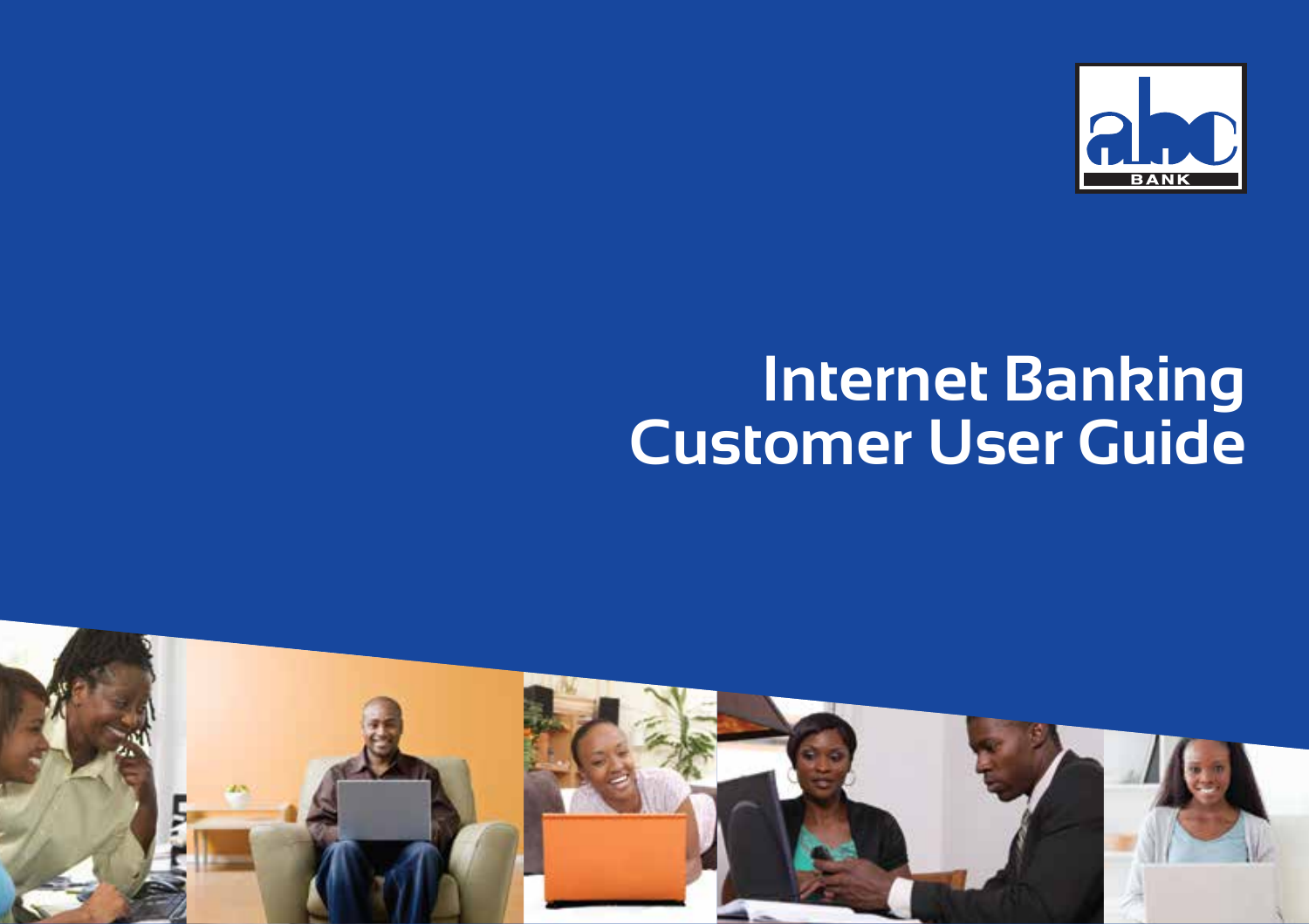

# **Internet Banking Customer User Guide**

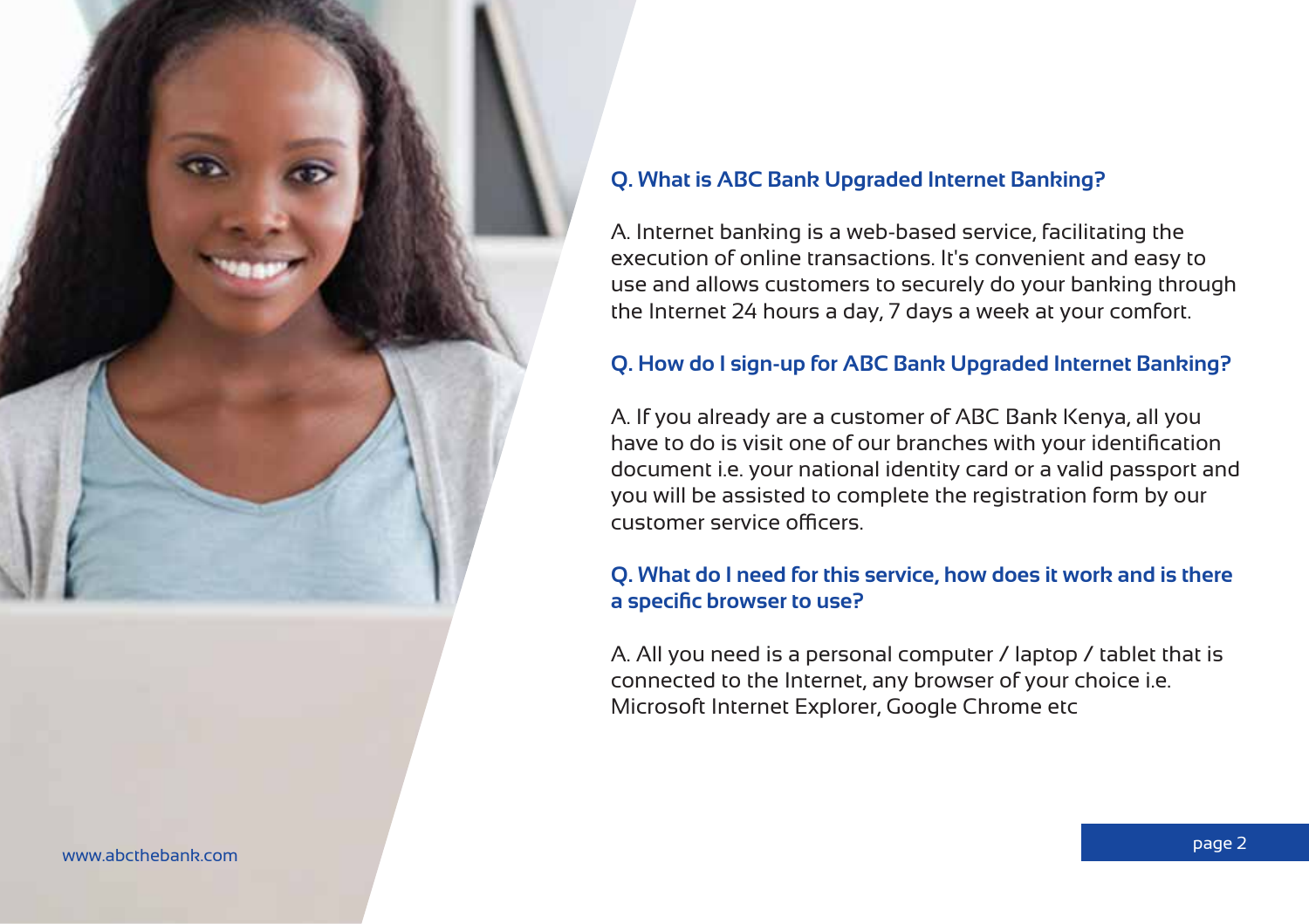

#### www.abcthebank.com

#### **Q. What is ABC Bank Upgraded Internet Banking?**

A. Internet banking is a web-based service, facilitating the execution of online transactions. It's convenient and easy to use and allows customers to securely do your banking through the Internet 24 hours a day, 7 days a week at your comfort.

#### **Q. How do I sign-up for ABC Bank Upgraded Internet Banking?**

A. If you already are a customer of ABC Bank Kenya, all you have to do is visit one of our branches with your identification document i.e. your national identity card or a valid passport and you will be assisted to complete the registration form by our customer service officers.

#### **Q. What do I need for this service, how does it work and is there a specific browser to use?**

A. All you need is a personal computer / laptop / tablet that is connected to the Internet, any browser of your choice i.e. Microsoft Internet Explorer, Google Chrome etc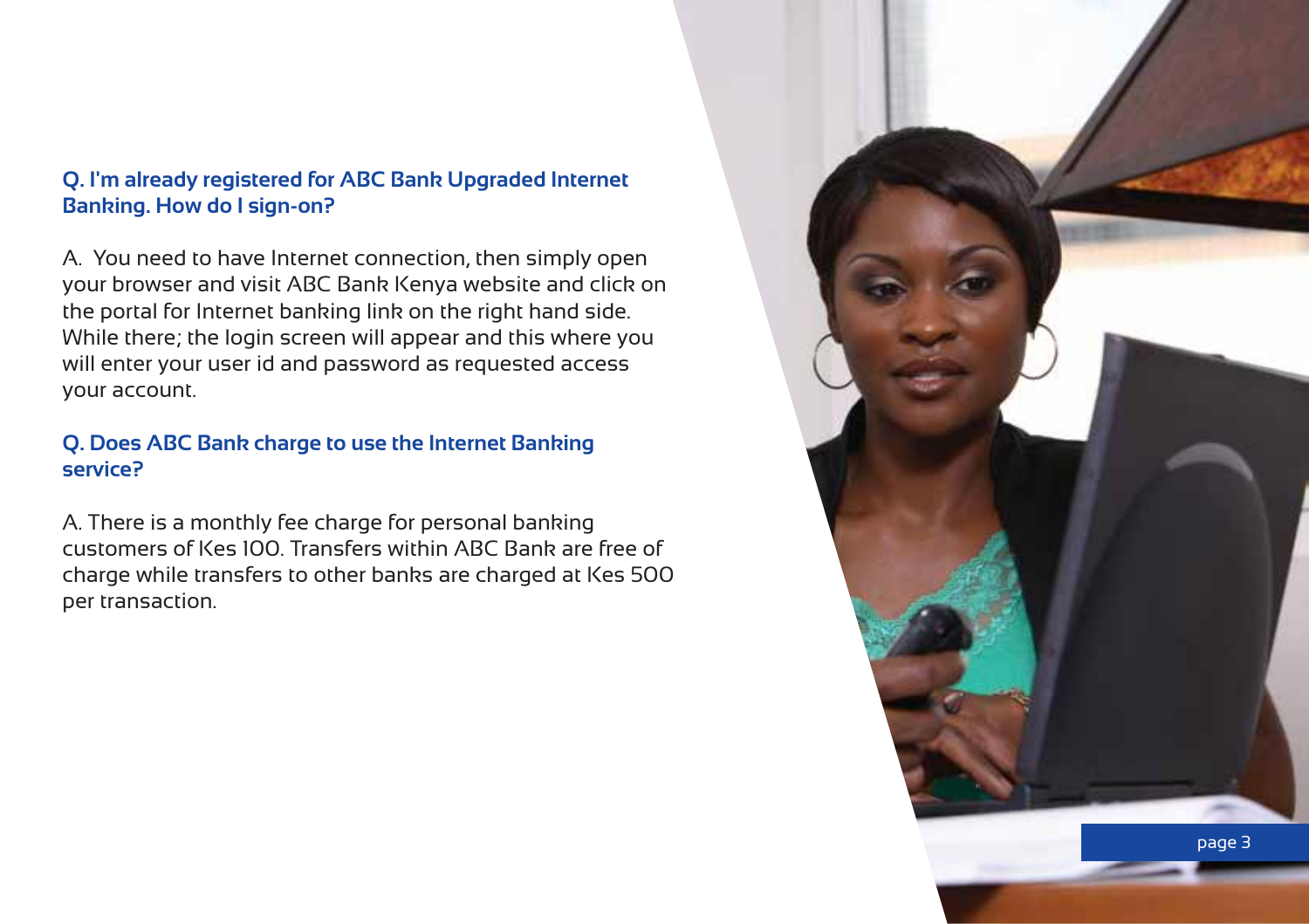# **Q. I'm already registered for ABC Bank Upgraded Internet Banking. How do I sign-on?**

A. You need to have Internet connection, then simply open your browser and visit ABC Bank Kenya website and click on the portal for Internet banking link on the right hand side. While there; the login screen will appear and this where you will enter your user id and password as requested access your account.

# **Q. Does ABC Bank charge to use the Internet Banking service?**

A. There is a monthly fee charge for personal banking customers of Kes 100. Transfers within ABC Bank are free of charge while transfers to other banks are charged at Kes 500 per transaction.

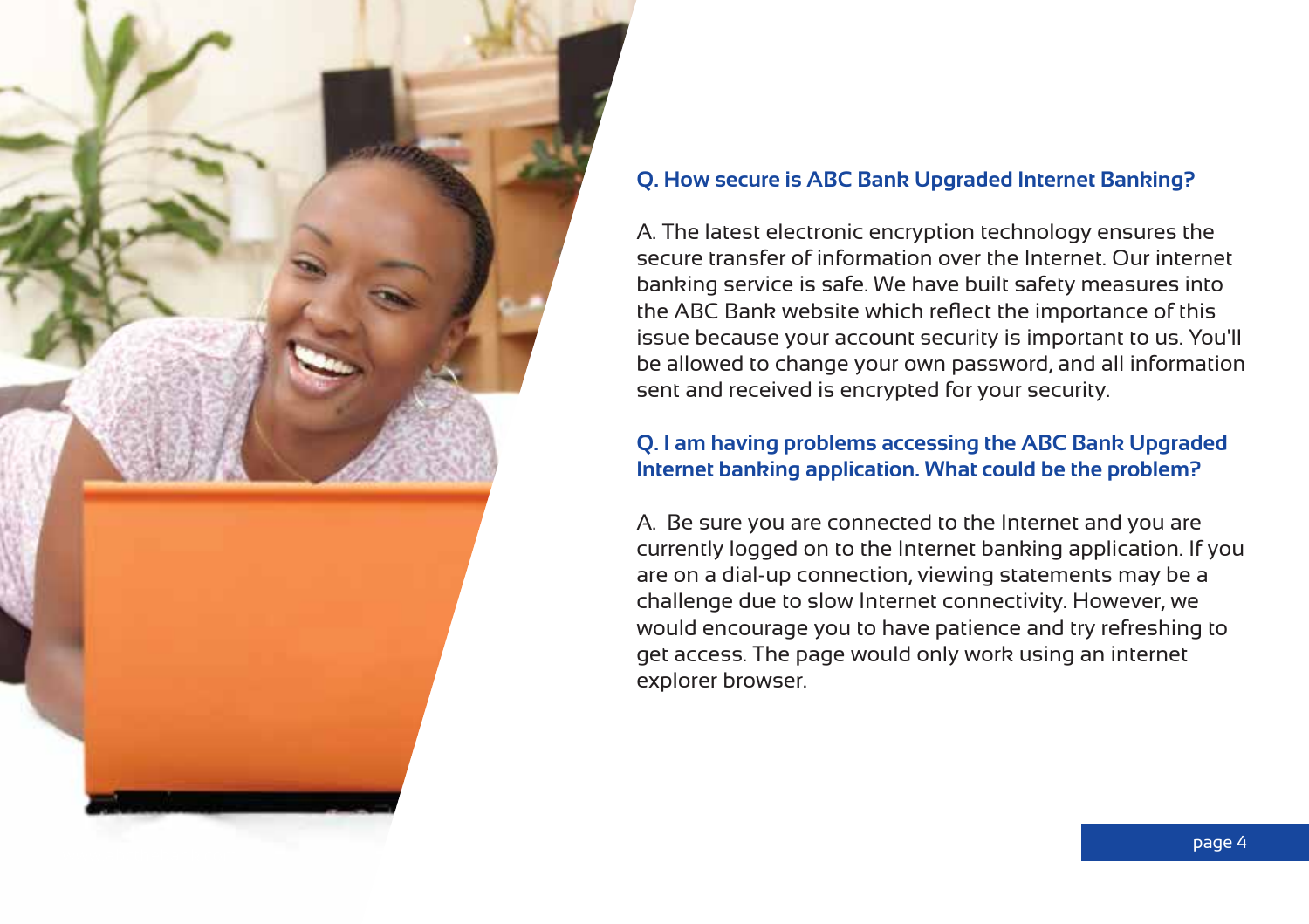

# **Q. How secure is ABC Bank Upgraded Internet Banking?**

A. The latest electronic encryption technology ensures the secure transfer of information over the Internet. Our internet banking service is safe. We have built safety measures into the ABC Bank website which reflect the importance of this issue because your account security is important to us. You'll be allowed to change your own password, and all information sent and received is encrypted for your security.

# **Q. I am having problems accessing the ABC Bank Upgraded Internet banking application. What could be the problem?**

A. Be sure you are connected to the Internet and you are currently logged on to the Internet banking application. If you are on a dial-up connection, viewing statements may be a challenge due to slow Internet connectivity. However, we would encourage you to have patience and try refreshing to get access. The page would only work using an internet explorer browser.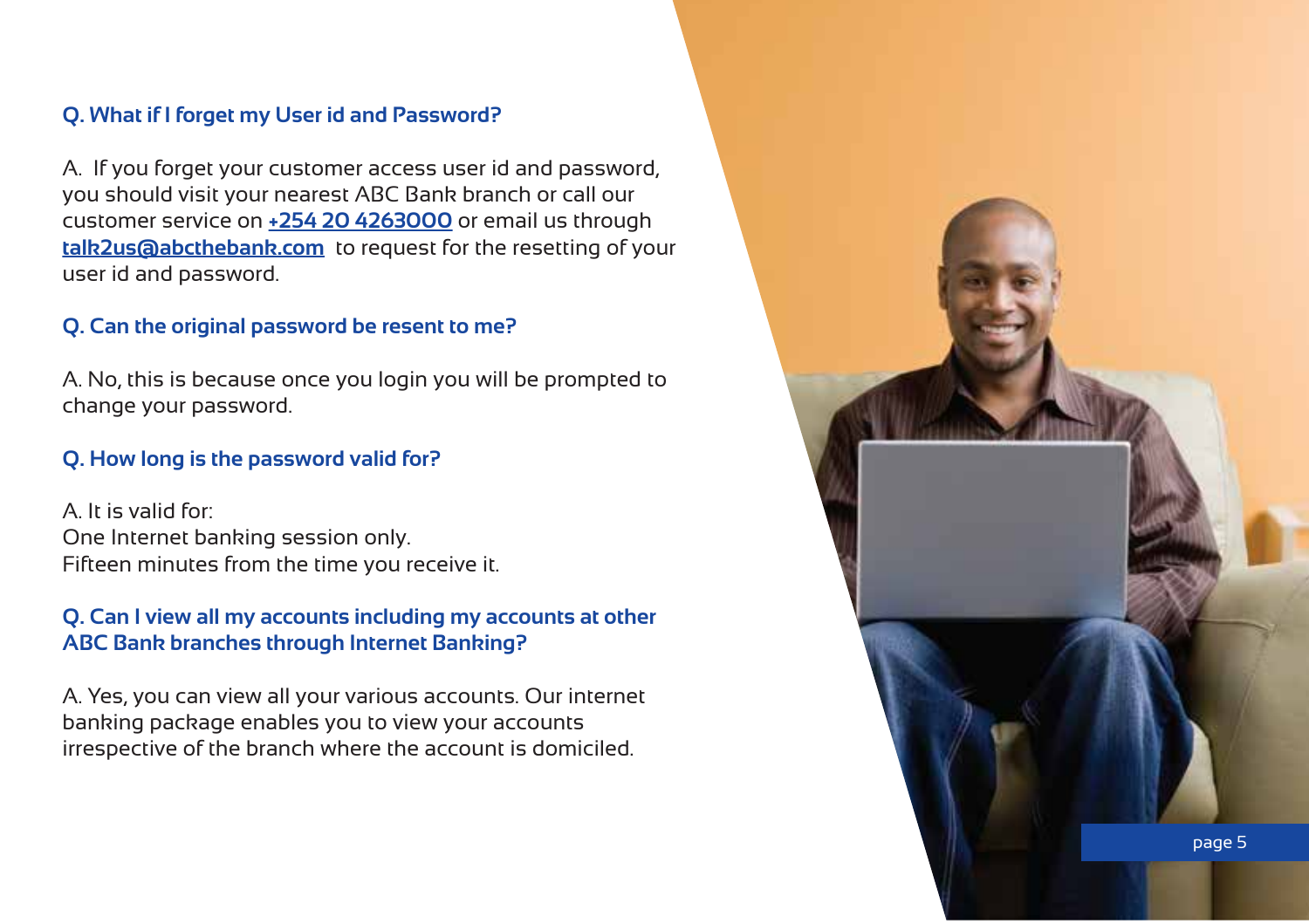# **Q. What if I forget my User id and Password?**

A. If you forget your customer access user id and password, you should visit your nearest ABC Bank branch or call our customer service on **+254 20 4263000** or email us through **talk2us@abcthebank.com** to request for the resetting of your user id and password.

#### **Q. Can the original password be resent to me?**

A. No, this is because once you login you will be prompted to change your password.

#### **Q. How long is the password valid for?**

A. It is valid for: One Internet banking session only. Fifteen minutes from the time you receive it.

# **Q. Can I view all my accounts including my accounts at other ABC Bank branches through Internet Banking?**

A. Yes, you can view all your various accounts. Our internet banking package enables you to view your accounts irrespective of the branch where the account is domiciled.

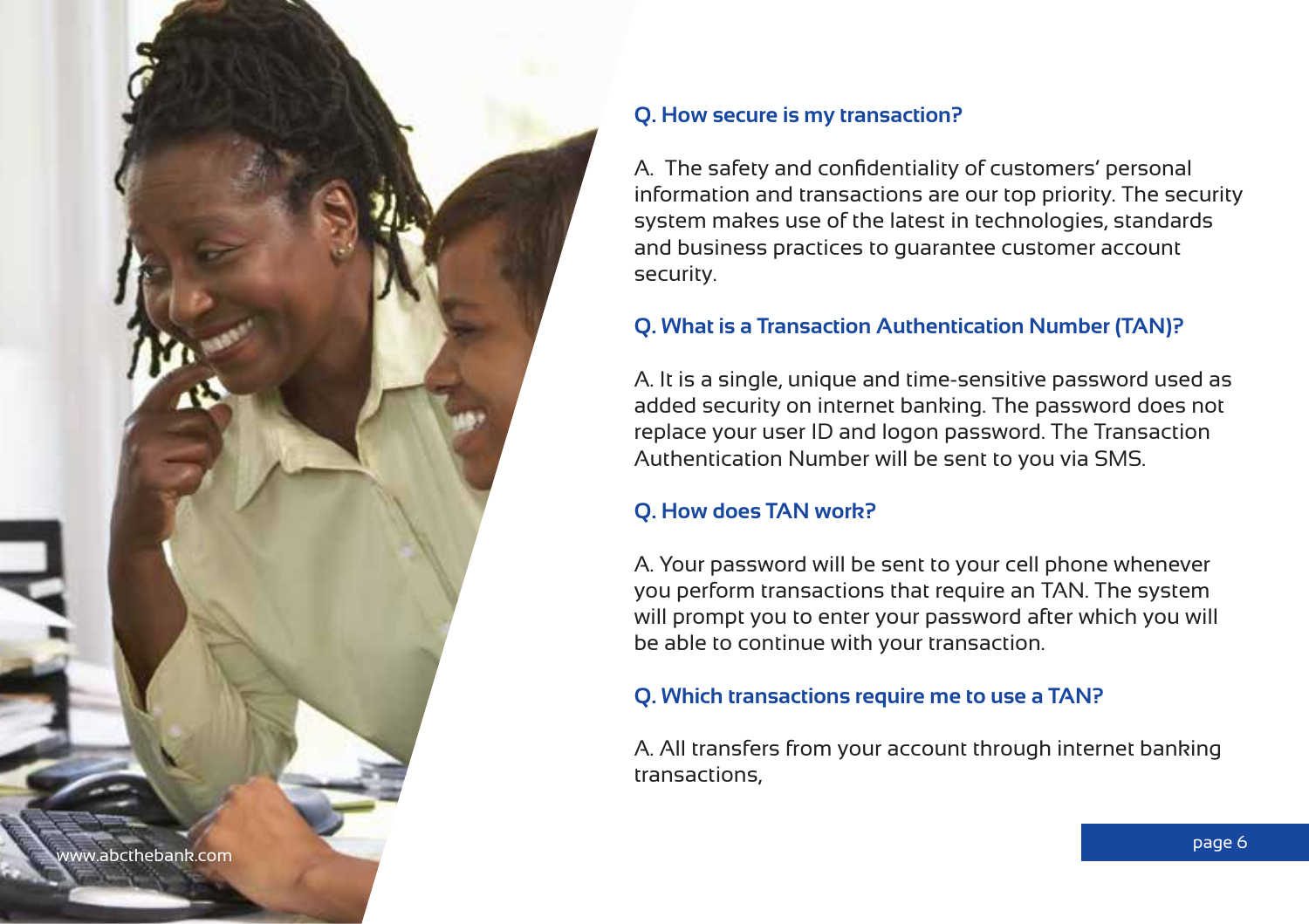

# **Q. How secure is my transaction?**

A. The safety and confidentiality of customers' personal information and transactions are our top priority. The security system makes use of the latest in technologies, standards and business practices to guarantee customer account security.

# **Q. What is a Transaction Authentication Number (TAN)?**

A. It is a single, unique and time-sensitive password used as added security on internet banking. The password does not replace your user ID and logon password. The Transaction Authentication Number will be sent to you via SMS.

# **Q. How does TAN work?**

A. Your password will be sent to your cell phone whenever you perform transactions that require an TAN. The system will prompt you to enter your password after which you will be able to continue with your transaction.

# **Q. Which transactions require me to use a TAN?**

A. All transfers from your account through internet banking transactions,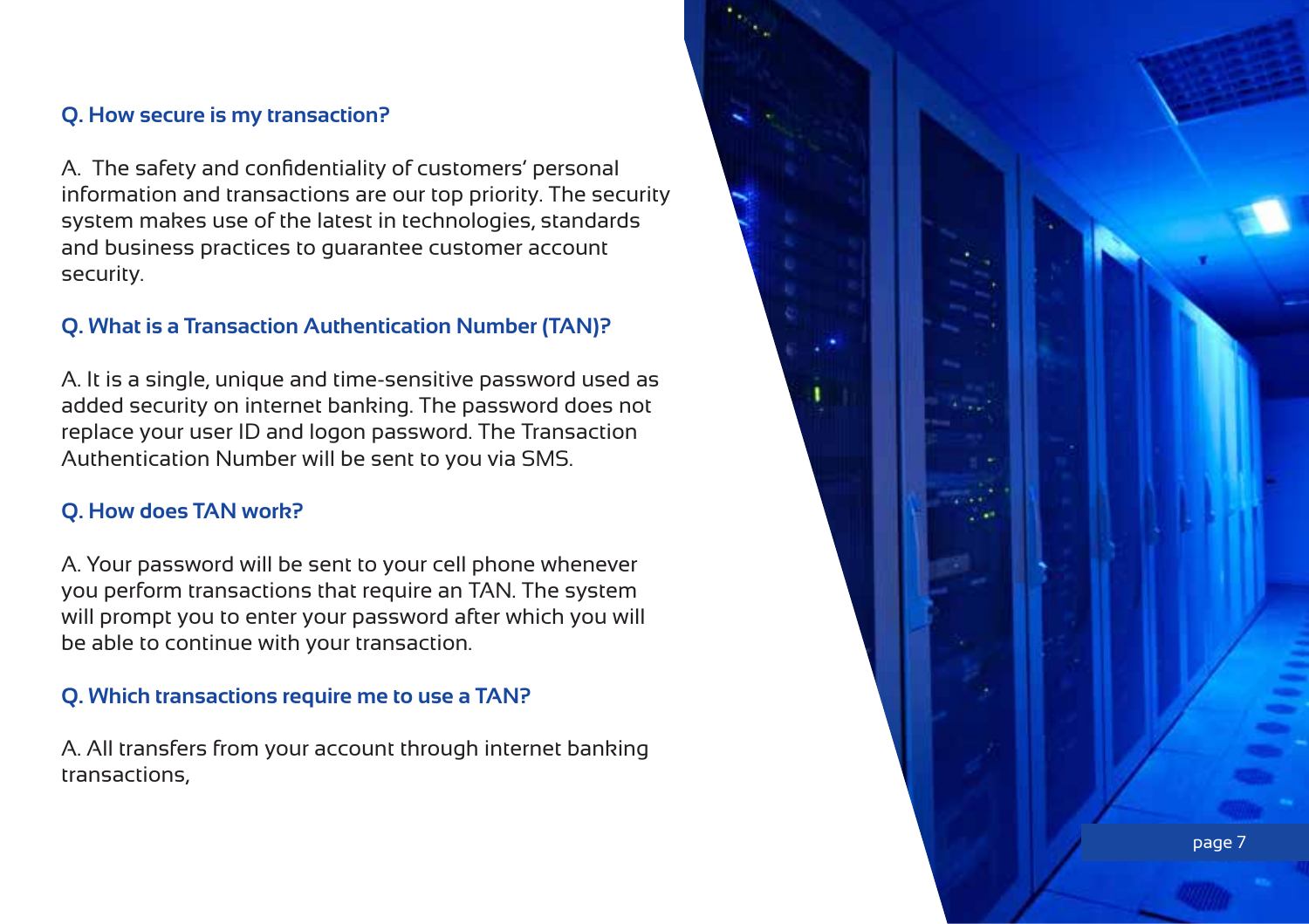# **Q. How secure is my transaction?**

A. The safety and confidentiality of customers' personal information and transactions are our top priority. The security system makes use of the latest in technologies, standards and business practices to guarantee customer account security.

#### **Q. What is a Transaction Authentication Number (TAN)?**

A. It is a single, unique and time-sensitive password used as added security on internet banking. The password does not replace your user ID and logon password. The Transaction Authentication Number will be sent to you via SMS.

#### **Q. How does TAN work?**

A. Your password will be sent to your cell phone whenever you perform transactions that require an TAN. The system will prompt you to enter your password after which you will be able to continue with your transaction.

# **Q. Which transactions require me to use a TAN?**

A. All transfers from your account through internet banking transactions,

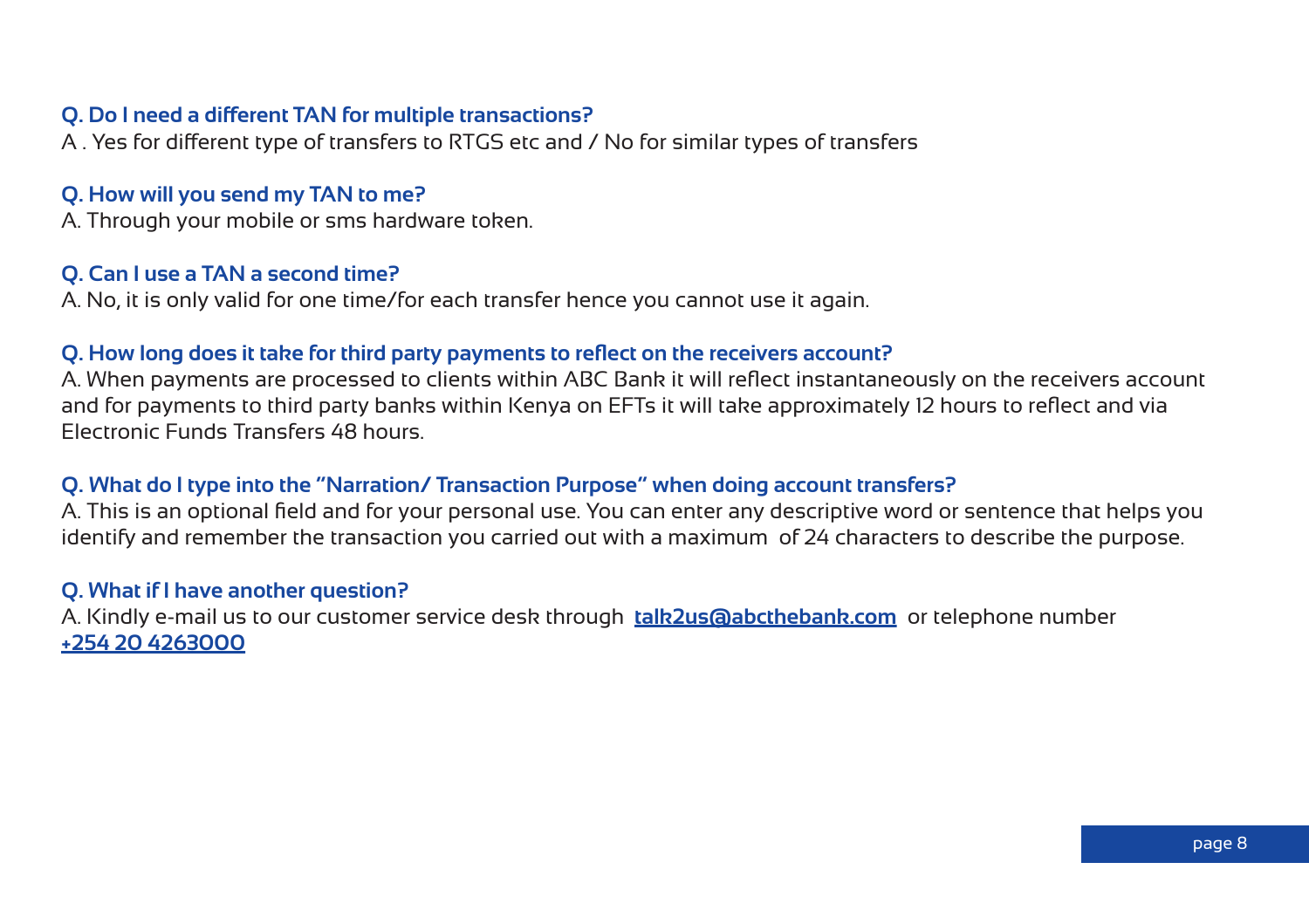#### **Q. Do I need a different TAN for multiple transactions?**

A . Yes for different type of transfers to RTGS etc and / No for similar types of transfers

#### **Q. How will you send my TAN to me?**

A. Through your mobile or sms hardware token.

#### **Q. Can I use a TAN a second time?**

A. No, it is only valid for one time/for each transfer hence you cannot use it again.

#### **Q. How long does it take for third party payments to reflect on the receivers account?**

A. When payments are processed to clients within ABC Bank it will reflect instantaneously on the receivers account and for payments to third party banks within Kenya on EFTs it will take approximately 12 hours to reflect and via Electronic Funds Transfers 48 hours.

#### **Q. What do I type into the "Narration/ Transaction Purpose" when doing account transfers?**

A. This is an optional field and for your personal use. You can enter any descriptive word or sentence that helps you identify and remember the transaction you carried out with a maximum of 24 characters to describe the purpose.

#### **Q. What if I have another question?**

A. Kindly e-mail us to our customer service desk through **talk2us@abcthebank.com** or telephone number **+254 20 4263000**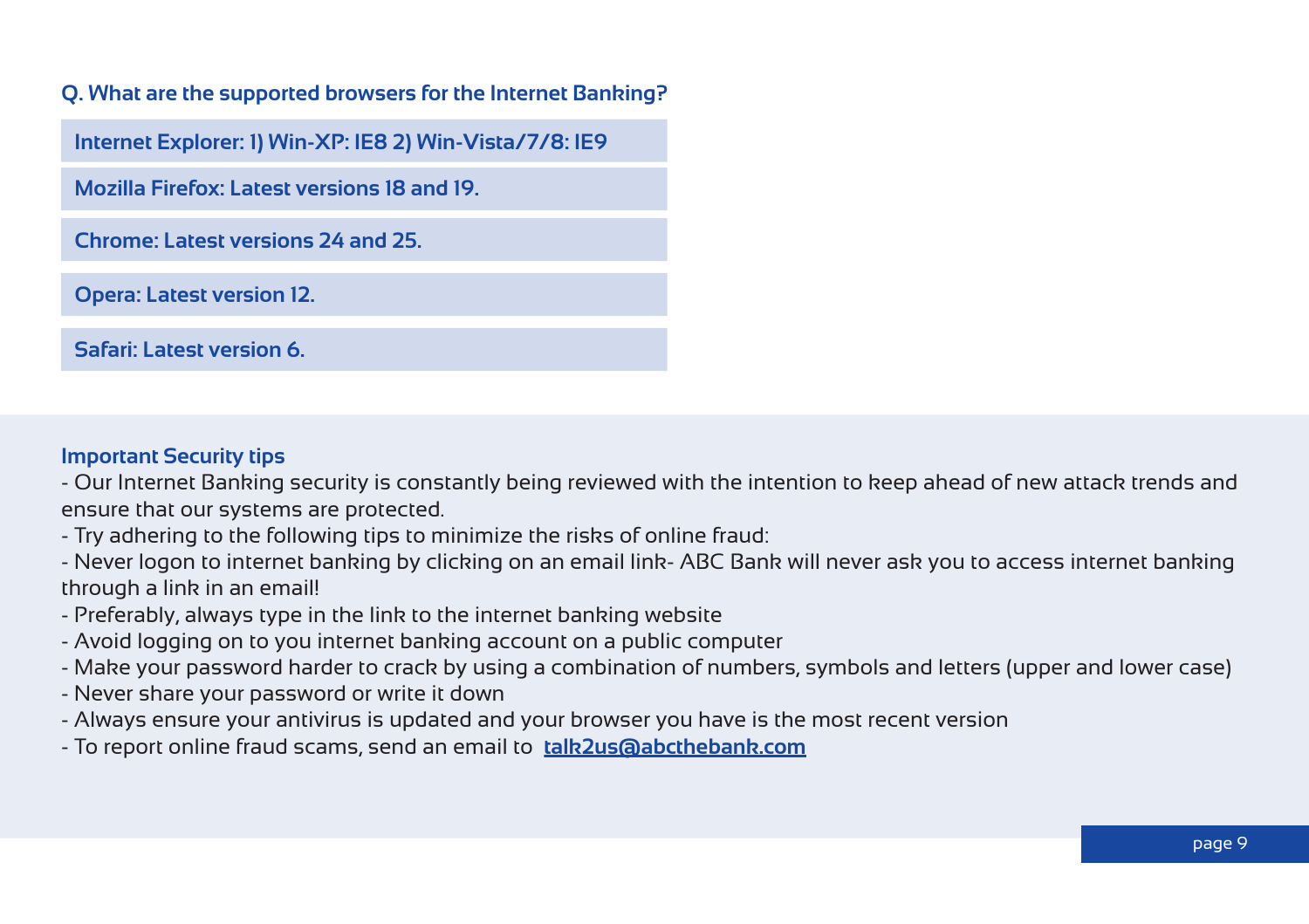# **Q. What are the supported browsers for the Internet Banking?**

**Internet Explorer: 1) Win-XP: IE8 2) Win-Vista/7/8: IE9** 

**Mozilla Firefox: Latest versions 18 and 19.**

**Chrome: Latest versions 24 and 25.**

**Opera: Latest version 12.**

**Safari: Latest version 6.**

#### **Important Security tips**

- Our Internet Banking security is constantly being reviewed with the intention to keep ahead of new attack trends and ensure that our systems are protected.

- Try adhering to the following tips to minimize the risks of online fraud:

- Never logon to internet banking by clicking on an email link- ABC Bank will never ask you to access internet banking through a link in an email!

- Preferably, always type in the link to the internet banking website

- Avoid logging on to you internet banking account on a public computer

- Make your password harder to crack by using a combination of numbers, symbols and letters (upper and lower case)

- Never share your password or write it down
- Always ensure your antivirus is updated and your browser you have is the most recent version
- To report online fraud scams, send an email to **talk2us@abcthebank.com**